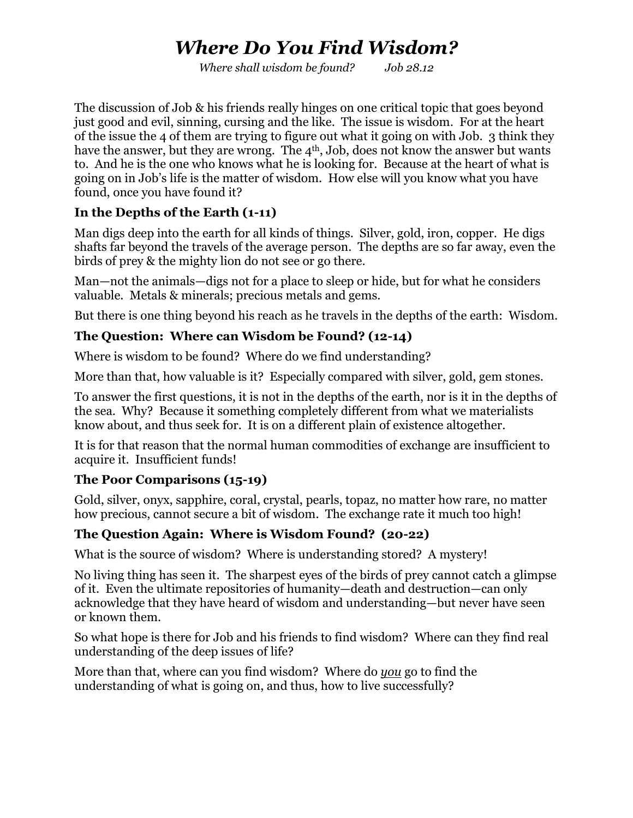# *Where Do You Find Wisdom?*

*Where shall wisdom be found? Job 28.12*

The discussion of Job & his friends really hinges on one critical topic that goes beyond just good and evil, sinning, cursing and the like. The issue is wisdom. For at the heart of the issue the 4 of them are trying to figure out what it going on with Job. 3 think they have the answer, but they are wrong. The 4<sup>th</sup>, Job, does not know the answer but wants to. And he is the one who knows what he is looking for. Because at the heart of what is going on in Job's life is the matter of wisdom. How else will you know what you have found, once you have found it?

## **In the Depths of the Earth (1-11)**

Man digs deep into the earth for all kinds of things. Silver, gold, iron, copper. He digs shafts far beyond the travels of the average person. The depths are so far away, even the birds of prey & the mighty lion do not see or go there.

Man—not the animals—digs not for a place to sleep or hide, but for what he considers valuable. Metals & minerals; precious metals and gems.

But there is one thing beyond his reach as he travels in the depths of the earth: Wisdom.

## **The Question: Where can Wisdom be Found? (12-14)**

Where is wisdom to be found? Where do we find understanding?

More than that, how valuable is it? Especially compared with silver, gold, gem stones.

To answer the first questions, it is not in the depths of the earth, nor is it in the depths of the sea. Why? Because it something completely different from what we materialists know about, and thus seek for. It is on a different plain of existence altogether.

It is for that reason that the normal human commodities of exchange are insufficient to acquire it. Insufficient funds!

## **The Poor Comparisons (15-19)**

Gold, silver, onyx, sapphire, coral, crystal, pearls, topaz, no matter how rare, no matter how precious, cannot secure a bit of wisdom. The exchange rate it much too high!

# **The Question Again: Where is Wisdom Found? (20-22)**

What is the source of wisdom? Where is understanding stored? A mystery!

No living thing has seen it. The sharpest eyes of the birds of prey cannot catch a glimpse of it. Even the ultimate repositories of humanity—death and destruction—can only acknowledge that they have heard of wisdom and understanding—but never have seen or known them.

So what hope is there for Job and his friends to find wisdom? Where can they find real understanding of the deep issues of life?

More than that, where can you find wisdom? Where do *you* go to find the understanding of what is going on, and thus, how to live successfully?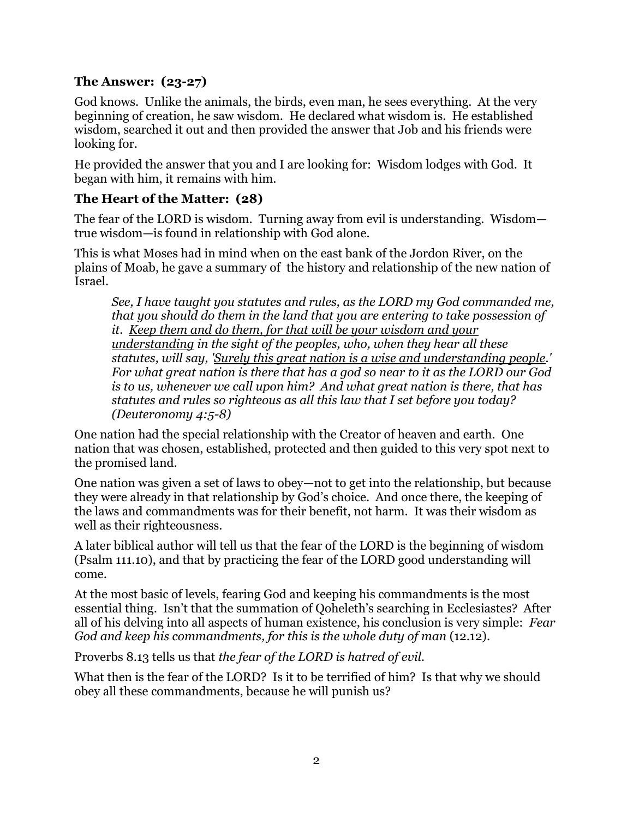#### **The Answer: (23-27)**

God knows. Unlike the animals, the birds, even man, he sees everything. At the very beginning of creation, he saw wisdom. He declared what wisdom is. He established wisdom, searched it out and then provided the answer that Job and his friends were looking for.

He provided the answer that you and I are looking for: Wisdom lodges with God. It began with him, it remains with him.

#### **The Heart of the Matter: (28)**

The fear of the LORD is wisdom. Turning away from evil is understanding. Wisdom true wisdom—is found in relationship with God alone.

This is what Moses had in mind when on the east bank of the Jordon River, on the plains of Moab, he gave a summary of the history and relationship of the new nation of Israel.

*See, I have taught you statutes and rules, as the LORD my God commanded me, that you should do them in the land that you are entering to take possession of it. Keep them and do them, for that will be your wisdom and your understanding in the sight of the peoples, who, when they hear all these statutes, will say, 'Surely this great nation is a wise and understanding people.' For what great nation is there that has a god so near to it as the LORD our God is to us, whenever we call upon him? And what great nation is there, that has statutes and rules so righteous as all this law that I set before you today? (Deuteronomy 4:5-8)*

One nation had the special relationship with the Creator of heaven and earth. One nation that was chosen, established, protected and then guided to this very spot next to the promised land.

One nation was given a set of laws to obey—not to get into the relationship, but because they were already in that relationship by God's choice. And once there, the keeping of the laws and commandments was for their benefit, not harm. It was their wisdom as well as their righteousness.

A later biblical author will tell us that the fear of the LORD is the beginning of wisdom (Psalm 111.10), and that by practicing the fear of the LORD good understanding will come.

At the most basic of levels, fearing God and keeping his commandments is the most essential thing. Isn't that the summation of Qoheleth's searching in Ecclesiastes? After all of his delving into all aspects of human existence, his conclusion is very simple: *Fear God and keep his commandments, for this is the whole duty of man (12.12).* 

Proverbs 8.13 tells us that *the fear of the LORD is hatred of evil.*

What then is the fear of the LORD? Is it to be terrified of him? Is that why we should obey all these commandments, because he will punish us?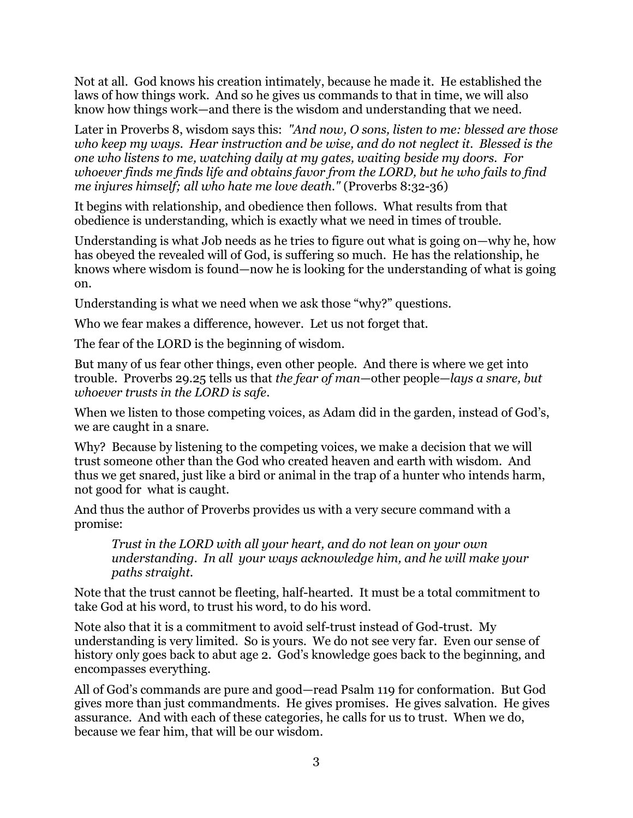Not at all. God knows his creation intimately, because he made it. He established the laws of how things work. And so he gives us commands to that in time, we will also know how things work—and there is the wisdom and understanding that we need.

Later in Proverbs 8, wisdom says this: *"And now, O sons, listen to me: blessed are those who keep my ways. Hear instruction and be wise, and do not neglect it. Blessed is the one who listens to me, watching daily at my gates, waiting beside my doors. For whoever finds me finds life and obtains favor from the LORD, but he who fails to find me injures himself; all who hate me love death."* (Proverbs 8:32-36)

It begins with relationship, and obedience then follows. What results from that obedience is understanding, which is exactly what we need in times of trouble.

Understanding is what Job needs as he tries to figure out what is going on—why he, how has obeyed the revealed will of God, is suffering so much. He has the relationship, he knows where wisdom is found—now he is looking for the understanding of what is going on.

Understanding is what we need when we ask those "why?" questions.

Who we fear makes a difference, however. Let us not forget that.

The fear of the LORD is the beginning of wisdom.

But many of us fear other things, even other people. And there is where we get into trouble. Proverbs 29.25 tells us that *the fear of man*—other people—*lays a snare, but whoever trusts in the LORD is safe*.

When we listen to those competing voices, as Adam did in the garden, instead of God's, we are caught in a snare.

Why? Because by listening to the competing voices, we make a decision that we will trust someone other than the God who created heaven and earth with wisdom. And thus we get snared, just like a bird or animal in the trap of a hunter who intends harm, not good for what is caught.

And thus the author of Proverbs provides us with a very secure command with a promise:

*Trust in the LORD with all your heart, and do not lean on your own understanding. In all your ways acknowledge him, and he will make your paths straight.*

Note that the trust cannot be fleeting, half-hearted. It must be a total commitment to take God at his word, to trust his word, to do his word.

Note also that it is a commitment to avoid self-trust instead of God-trust. My understanding is very limited. So is yours. We do not see very far. Even our sense of history only goes back to abut age 2. God's knowledge goes back to the beginning, and encompasses everything.

All of God's commands are pure and good—read Psalm 119 for conformation. But God gives more than just commandments. He gives promises. He gives salvation. He gives assurance. And with each of these categories, he calls for us to trust. When we do, because we fear him, that will be our wisdom.